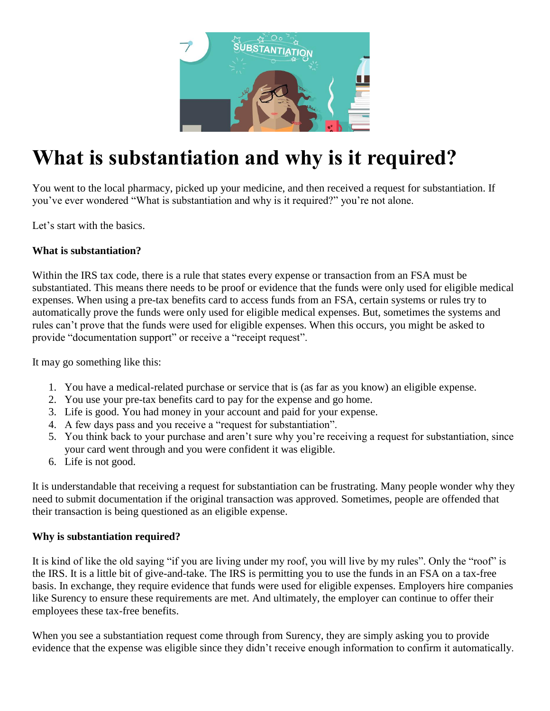

# **What is substantiation and why is it required?**

You went to the local pharmacy, picked up your medicine, and then received a request for substantiation. If you've ever wondered "What is substantiation and why is it required?" you're not alone.

Let's start with the basics.

## **What is substantiation?**

Within the IRS tax code, there is a rule that states every expense or transaction from an FSA must be substantiated. This means there needs to be proof or evidence that the funds were only used for eligible medical expenses. When using a pre-tax benefits card to access funds from an FSA, certain systems or rules try to automatically prove the funds were only used for eligible medical expenses. But, sometimes the systems and rules can't prove that the funds were used for eligible expenses. When this occurs, you might be asked to provide "documentation support" or receive a "receipt request".

It may go something like this:

- 1. You have a medical-related purchase or service that is (as far as you know) an eligible expense.
- 2. You use your pre-tax benefits card to pay for the expense and go home.
- 3. Life is good. You had money in your account and paid for your expense.
- 4. A few days pass and you receive a "request for substantiation".
- 5. You think back to your purchase and aren't sure why you're receiving a request for substantiation, since your card went through and you were confident it was eligible.
- 6. Life is not good.

It is understandable that receiving a request for substantiation can be frustrating. Many people wonder why they need to submit documentation if the original transaction was approved. Sometimes, people are offended that their transaction is being questioned as an eligible expense.

## **Why is substantiation required?**

It is kind of like the old saying "if you are living under my roof, you will live by my rules". Only the "roof" is the IRS. It is a little bit of give-and-take. The IRS is permitting you to use the funds in an FSA on a tax-free basis. In exchange, they require evidence that funds were used for eligible expenses. Employers hire companies like Surency to ensure these requirements are met. And ultimately, the employer can continue to offer their employees these tax-free benefits.

When you see a substantiation request come through from Surency, they are simply asking you to provide evidence that the expense was eligible since they didn't receive enough information to confirm it automatically.